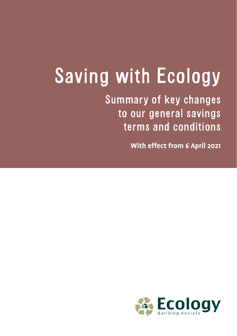## Saving with Ecology

Summary of key changes to our general savings terms and conditions

**With effect from 6 April 2021**

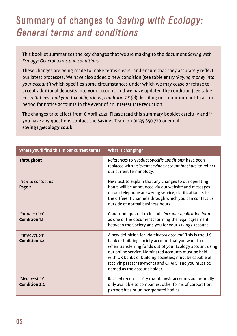## Summary of changes to Saving with Ecology: General terms and conditions

This booklet summarises the key changes that we are making to the document *Saving with Ecology: General terms and conditions.* 

These changes are being made to make terms clearer and ensure that they accurately reflect our latest processes. We have also added a new condition (see table entry *'Paying money into your account'*) which specifies some circumstances under which we may cease or refuse to accept additional deposits into your account, and we have updated the condition (see table entry *'Interest and your tax obligations', condition 7.8 (b)*) detailing our minimum notification period for notice accounts in the event of an interest rate reduction.

The changes take effect from 6 April 2021. Please read this summary booklet carefully and if you have any questions contact the Savings Team on 01535 650 770 or email **savings@ecology.co.uk**

| Where you'll find this in our current terms | What is changing?                                                                                                                                                                                                                                                                                                                                                                        |
|---------------------------------------------|------------------------------------------------------------------------------------------------------------------------------------------------------------------------------------------------------------------------------------------------------------------------------------------------------------------------------------------------------------------------------------------|
| <b>Throughout</b>                           | References to 'Product Specific Conditions' have been<br>replaced with 'relevant savings account brochure' to reflect<br>our current terminology.                                                                                                                                                                                                                                        |
| 'How to contact us'<br>Page 2               | New text to explain that any changes to our operating<br>hours will be announced via our website and messages<br>on our telephone answering service; clarification as to<br>the different channels through which you can contact us<br>outside of normal business hours.                                                                                                                 |
| 'Introduction'<br>Condition 1.1             | Condition updated to include 'account application form'<br>as one of the documents forming the legal agreement<br>between the Society and you for your savings account.                                                                                                                                                                                                                  |
| 'Introduction'<br>Condition 1.2             | A new definition for 'Nominated account'. This is the UK<br>bank or building society account that you want to use<br>when transferring funds out of your Ecology account using<br>our online service. Nominated accounts must be held<br>with UK banks or building societies; must be capable of<br>receiving Faster Payments and CHAPS; and you must be<br>named as the account holder. |
| 'Membership'<br><b>Condition 2.2</b>        | Revised text to clarify that deposit accounts are normally<br>only available to companies, other forms of corporation,<br>partnerships or unincorporated bodies.                                                                                                                                                                                                                         |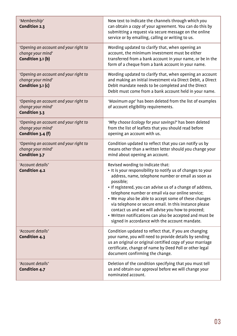| 'Membership'<br>Condition 2.3                                                   | New text to indicate the channels through which you<br>can obtain a copy of your agreement. You can do this by<br>submitting a request via secure message on the online<br>service or by emailing, calling or writing to us.                                                                                                                                                                                                                                                                                                                                                  |
|---------------------------------------------------------------------------------|-------------------------------------------------------------------------------------------------------------------------------------------------------------------------------------------------------------------------------------------------------------------------------------------------------------------------------------------------------------------------------------------------------------------------------------------------------------------------------------------------------------------------------------------------------------------------------|
| 'Opening an account and your right to<br>change your mind'<br>Condition 3.1 (b) | Wording updated to clarify that, when opening an<br>account, the minimum investment must be either<br>transferred from a bank account in your name, or be in the<br>form of a cheque from a bank account in your name.                                                                                                                                                                                                                                                                                                                                                        |
| Opening an account and your right to<br>change your mind'<br>Condition 3.1 (c)  | Wording updated to clarify that, when opening an account<br>and making an initial investment via Direct Debit, a Direct<br>Debit mandate needs to be completed and the Direct<br>Debit must come from a bank account held in your name.                                                                                                                                                                                                                                                                                                                                       |
| 'Opening an account and your right to<br>change your mind'<br>Condition 3.3     | 'Maximum age' has been deleted from the list of examples<br>of account eligibility requirements.                                                                                                                                                                                                                                                                                                                                                                                                                                                                              |
| 'Opening an account and your right to<br>change your mind'<br>Condition 3.4 (f) | 'Why choose Ecology for your savings?' has been deleted<br>from the list of leaflets that you should read before<br>opening an account with us.                                                                                                                                                                                                                                                                                                                                                                                                                               |
| 'Opening an account and your right to<br>change your mind'<br>Condition 3.7     | Condition updated to reflect that you can notify us by<br>means other than a written letter should you change your<br>mind about opening an account.                                                                                                                                                                                                                                                                                                                                                                                                                          |
| 'Account details'<br>Condition 4.2                                              | Revised wording to indicate that:<br>• It is your responsibility to notify us of changes to your<br>address, name, telephone number or email as soon as<br>possible:<br>• If registered, you can advise us of a change of address,<br>telephone number or email via our online service;<br>• We may also be able to accept some of these changes<br>via telephone or secure email. In this instance please<br>contact us and we will advise you how to proceed;<br>• Written notifications can also be accepted and must be<br>signed in accordance with the account mandate. |
| 'Account details'<br>Condition 4.3                                              | Condition updated to reflect that, if you are changing<br>your name, you will need to provide details by sending<br>us an original or original certified copy of your marriage<br>certificate, change of name by Deed Poll or other legal<br>document confirming the change.                                                                                                                                                                                                                                                                                                  |
| 'Account details'<br>Condition 4.7                                              | Deletion of the condition specifying that you must tell<br>us and obtain our approval before we will change your<br>nominated account.                                                                                                                                                                                                                                                                                                                                                                                                                                        |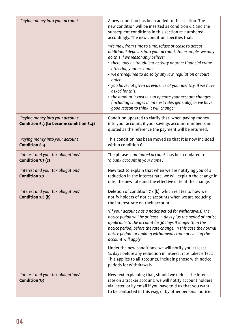| 'Paying money into your account'                                            | A new condition has been added to this section. The<br>new condition will be inserted as condition 6.2 and the<br>subsequent conditions in this section re-numbered<br>accordingly. The new condition specifies that:                                                                                                                                                                                                                                                                                                                                                             |
|-----------------------------------------------------------------------------|-----------------------------------------------------------------------------------------------------------------------------------------------------------------------------------------------------------------------------------------------------------------------------------------------------------------------------------------------------------------------------------------------------------------------------------------------------------------------------------------------------------------------------------------------------------------------------------|
|                                                                             | 'We may, from time to time, refuse or cease to accept<br>additional deposits into your account. For example, we may<br>do this if we reasonably believe:<br>• there may be fraudulent activity or other financial crime<br>affecting your account;<br>• we are required to do so by any law, regulation or court<br>order;<br>• you have not given us evidence of your identity, if we have<br>asked for this:<br>• the amount it costs us to operate your account changes<br>(including changes in interest rates generally) or we have<br>good reason to think it will change.' |
| 'Paying money into your account'<br>Condition 6.3 (to become condition 6.4) | Condition updated to clarify that, when paying money<br>into your account, if your savings account number is not<br>quoted as the reference the payment will be returned.                                                                                                                                                                                                                                                                                                                                                                                                         |
| 'Paying money into your account'<br><b>Condition 6.4</b>                    | This condition has been moved so that it is now included<br>within condition 6.1.                                                                                                                                                                                                                                                                                                                                                                                                                                                                                                 |
| 'Interest and your tax obligations'<br>Condition 7.3 (c)                    | The phrase 'nominated account' has been updated to<br>'a bank account in your name'.                                                                                                                                                                                                                                                                                                                                                                                                                                                                                              |
| 'Interest and your tax obligations'<br>Condition 7.7                        | New text to explain that when we are notifying you of a<br>reduction in the interest rate, we will explain the change in<br>rate, the new rate and the effective date of the change.                                                                                                                                                                                                                                                                                                                                                                                              |
| 'Interest and your tax obligations'<br>Condition 7.8 (b)                    | Deletion of condition 7.8 (b), which relates to how we<br>notify holders of notice accounts when we are reducing<br>the interest rate on their account:                                                                                                                                                                                                                                                                                                                                                                                                                           |
|                                                                             | '(If your account has a notice period for withdrawals) The<br>notice period will be at least 14 days plus the period of notice<br>applicable to the account (or 30 days if longer than the<br>notice period) before the rate change. In this case the normal<br>notice period for making withdrawals from or closing the<br>account will apply.'                                                                                                                                                                                                                                  |
|                                                                             | Under the new conditions, we will notify you at least<br>14 days before any reduction in interest rate takes effect.<br>This applies to all accounts, including those with notice<br>periods for withdrawals.                                                                                                                                                                                                                                                                                                                                                                     |
| 'Interest and your tax obligations'<br><b>Condition 7.9</b>                 | New text explaining that, should we reduce the interest<br>rate on a tracker account, we will notify account holders<br>via letter, or by email if you have told us that you want<br>to be contacted in this way, or by other personal notice.                                                                                                                                                                                                                                                                                                                                    |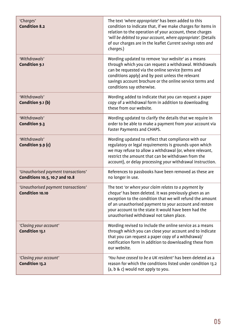| 'Charges'<br><b>Condition 8.2</b>                                     | The text 'where appropriate' has been added to this<br>condition to indicate that, if we make charges for items in<br>relation to the operation of your account, these charges<br>'will be debited to your account, where appropriate'. (Details<br>of our charges are in the leaflet Current savings rates and<br>charges.)                |
|-----------------------------------------------------------------------|---------------------------------------------------------------------------------------------------------------------------------------------------------------------------------------------------------------------------------------------------------------------------------------------------------------------------------------------|
| 'Withdrawals'<br>Condition 9.1                                        | Wording updated to remove 'our website' as a means<br>through which you can request a withdrawal. Withdrawals<br>can be requested via the online service (terms and<br>conditions apply) and by post unless the relevant<br>savings account brochure or the online service terms and<br>conditions say otherwise.                           |
| 'Withdrawals'<br>Condition 9.1 (b)                                    | Wording added to indicate that you can request a paper<br>copy of a withdrawal form in addition to downloading<br>these from our website.                                                                                                                                                                                                   |
| 'Withdrawals'<br>Condition 9.3                                        | Wording updated to clarify the details that we require in<br>order to be able to make a payment from your account via<br>Faster Payments and CHAPS.                                                                                                                                                                                         |
| 'Withdrawals'<br>Condition 9.9 (c)                                    | Wording updated to reflect that compliance with our<br>regulatory or legal requirements is grounds upon which<br>we may refuse to allow a withdrawal (or, where relevant,<br>restrict the amount that can be withdrawn from the<br>account), or delay processing your withdrawal instruction.                                               |
| 'Unauthorised payment transactions'<br>Conditions 10.5, 10.7 and 10.8 | References to passbooks have been removed as these are<br>no longer in use.                                                                                                                                                                                                                                                                 |
| 'Unauthorised payment transactions'<br>Condition 10.10                | The text 'or where your claim relates to a payment by<br>cheque' has been deleted. It was previously given as an<br>exception to the condition that we will refund the amount<br>of an unauthorised payment to your account and restore<br>your account to the state it would have been had the<br>unauthorised withdrawal not taken place. |
| 'Closing your account'<br>Condition 13.1                              | Wording revised to include the online service as a means<br>through which you can close your account and to indicate<br>that you can request a paper copy of a withdrawal/<br>notification form in addition to downloading these from<br>our website.                                                                                       |
| 'Closing your account'<br>Condition 13.2                              | 'You have ceased to be a UK resident' has been deleted as a<br>reason for which the conditions listed under condition 13.2<br>(a, b & c) would not apply to you.                                                                                                                                                                            |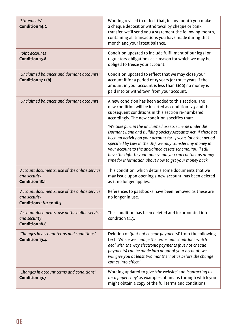| 'Statements'<br>Condition 14.2                                                                   | Wording revised to reflect that, in any month you make<br>a cheque deposit or withdrawal by cheque or bank<br>transfer, we'll send you a statement the following month,<br>containing all transactions you have made during that<br>month and your latest balance.                                                                                                                                                                          |
|--------------------------------------------------------------------------------------------------|---------------------------------------------------------------------------------------------------------------------------------------------------------------------------------------------------------------------------------------------------------------------------------------------------------------------------------------------------------------------------------------------------------------------------------------------|
| 'Joint accounts'<br>Condition 15.8                                                               | Condition updated to include fulfillment of our legal or<br>regulatory obligations as a reason for which we may be<br>obliged to freeze your account.                                                                                                                                                                                                                                                                                       |
| 'Unclaimed balances and dormant accounts'<br>Condition 17.1 (b)                                  | Condition updated to reflect that we may close your<br>account if for a period of 15 years (or three years if the<br>amount in your account is less than £100) no money is<br>paid into or withdrawn from your account.                                                                                                                                                                                                                     |
| 'Unclaimed balances and dormant accounts'                                                        | A new condition has been added to this section. The<br>new condition will be inserted as condition 17.3 and the<br>subsequent conditions in this section re-numbered<br>accordingly. The new condition specifies that:                                                                                                                                                                                                                      |
|                                                                                                  | 'We take part in the unclaimed assets scheme under the<br>Dormant Bank and Building Society Accounts Act. If there has<br>been no activity on your account for 15 years (or other period<br>specified by Law in the UK), we may transfer any money in<br>your account to the unclaimed assets scheme. You'll still<br>have the right to your money and you can contact us at any<br>time for information about how to get your money back.' |
| 'Account documents, use of the online service<br>and security'<br>Condition 18.1                 | This condition, which details some documents that we<br>may issue upon opening a new account, has been deleted<br>as it no longer applies.                                                                                                                                                                                                                                                                                                  |
| 'Account documents, use of the online service<br>and security'<br><b>Conditions 18.2 to 18.5</b> | References to passbooks have been removed as these are<br>no longer in use.                                                                                                                                                                                                                                                                                                                                                                 |
| 'Account documents, use of the online service<br>and security'<br>Condition 18.6                 | This condition has been deleted and incorporated into<br>condition 14.3.                                                                                                                                                                                                                                                                                                                                                                    |
| 'Changes in account terms and conditions'<br><b>Condition 19.4</b>                               | Deletion of '(but not cheque payments)' from the following<br>text: 'Where we change the terms and conditions which<br>deal with the way electronic payments (but not cheque<br>payments) can be made into or out of your account, we<br>will give you at least two months' notice before the change<br>comes into effect.'                                                                                                                 |
| 'Changes in account terms and conditions'<br>Condition 19.7                                      | Wording updated to give 'the website' and 'contacting us<br>for a paper copy' as examples of means through which you<br>might obtain a copy of the full terms and conditions.                                                                                                                                                                                                                                                               |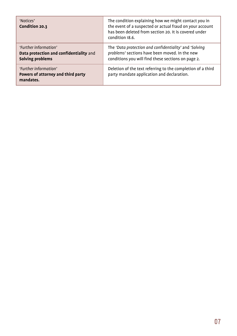| 'Notices'<br>Condition 20.3                                                          | The condition explaining how we might contact you in<br>the event of a suspected or actual fraud on your account<br>has been deleted from section 20. It is covered under<br>condition 18.6. |
|--------------------------------------------------------------------------------------|----------------------------------------------------------------------------------------------------------------------------------------------------------------------------------------------|
| 'Further information'<br>Data protection and confidentiality and<br>Solving problems | The 'Data protection and confidentiality' and 'Solving<br>problems' sections have been moved. In the new<br>conditions you will find these sections on page 2.                               |
| 'Further information'<br>Powers of attorney and third party<br>mandates.             | Deletion of the text referring to the completion of a third<br>party mandate application and declaration.                                                                                    |